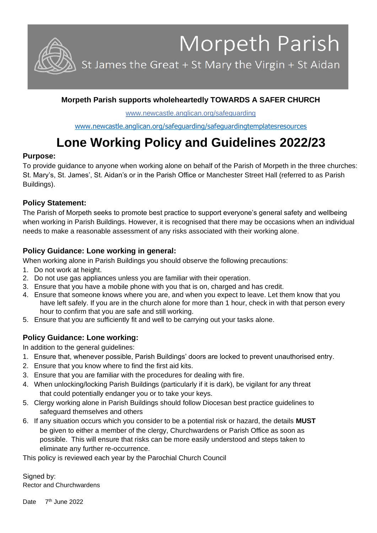Morpeth Parish

St James the Great + St Mary the Virgin + St Aidan

## **Morpeth Parish supports wholeheartedly TOWARDS A SAFER CHURCH**

www.newcastle.anglican.org/safeguarding

www.newcastle.anglican.org/safeguarding/safeguardingtemplatesresources

# **Lone Working Policy and Guidelines 2022/23**

#### **Purpose:**

To provide guidance to anyone when working alone on behalf of the Parish of Morpeth in the three churches: St. Mary's, St. James', St. Aidan's or in the Parish Office or Manchester Street Hall (referred to as Parish Buildings).

#### **Policy Statement:**

The Parish of Morpeth seeks to promote best practice to support everyone's general safety and wellbeing when working in Parish Buildings. However, it is recognised that there may be occasions when an individual needs to make a reasonable assessment of any risks associated with their working alone.

#### **Policy Guidance: Lone working in general:**

When working alone in Parish Buildings you should observe the following precautions:

- 1. Do not work at height.
- 2. Do not use gas appliances unless you are familiar with their operation.
- 3. Ensure that you have a mobile phone with you that is on, charged and has credit.
- 4. Ensure that someone knows where you are, and when you expect to leave. Let them know that you have left safely. If you are in the church alone for more than 1 hour, check in with that person every hour to confirm that you are safe and still working.
- 5. Ensure that you are sufficiently fit and well to be carrying out your tasks alone.

### **Policy Guidance: Lone working:**

In addition to the general guidelines:

- 1. Ensure that, whenever possible, Parish Buildings' doors are locked to prevent unauthorised entry.
- 2. Ensure that you know where to find the first aid kits.
- 3. Ensure that you are familiar with the procedures for dealing with fire.
- 4. When unlocking/locking Parish Buildings (particularly if it is dark), be vigilant for any threat that could potentially endanger you or to take your keys.
- 5. Clergy working alone in Parish Buildings should follow Diocesan best practice guidelines to safeguard themselves and others
- 6. If any situation occurs which you consider to be a potential risk or hazard, the details **MUST** be given to either a member of the clergy, Churchwardens or Parish Office as soon as possible. This will ensure that risks can be more easily understood and steps taken to eliminate any further re-occurrence.

This policy is reviewed each year by the Parochial Church Council

Signed by: Rector and Churchwardens

Date 7<sup>th</sup> June 2022